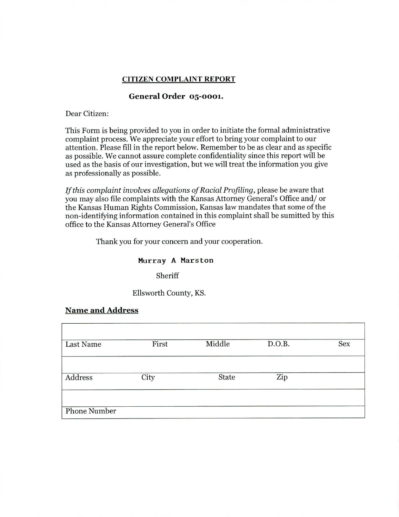#### **CITIZEN COMPLAINT REPORT**

## **General Order 05-0001.**

#### Dear Citizen:

This Form is being provided to you in order to initiate the formal administrative complaint process. We appreciate your effort to bring your complaint to our attention. Please fill in the report below. Remember to be as clear and as specific as possible. We cannot assure complete confidentiality since this report will be used as the basis of our investigation, but we will treat the information you give as professionally as possible.

*If this complaint involves allegations of Racial Profiling,* please be aware that you may also file complaints with the Kansas Attorney General's Office and/ or the Kansas Human Rights Commission, Kansas law mandates that some of the non-identifying information contained in this complaint shall be sumitted by this office to the Kansas Attorney General's Office

Thank you for your concern and your cooperation.

#### **Murray A Mars ton**

Sheriff

Ellsworth County, KS.

### **Name and Address**

| <b>Last Name</b>    | First | Middle | D.O.B. | Sex |
|---------------------|-------|--------|--------|-----|
| Address             | City  | State  | Zip    |     |
| <b>Phone Number</b> |       |        |        |     |